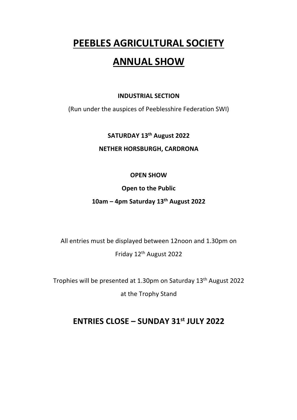# **PEEBLES AGRICULTURAL SOCIETY**

# **ANNUAL SHOW**

### **INDUSTRIAL SECTION**

(Run under the auspices of Peeblesshire Federation SWI)

## **SATURDAY 13th August 2022**

### **NETHER HORSBURGH, CARDRONA**

### **OPEN SHOW**

### **Open to the Public**

## **10am – 4pm Saturday 13th August 2022**

All entries must be displayed between 12noon and 1.30pm on Friday 12th August 2022

Trophies will be presented at 1.30pm on Saturday 13th August 2022

at the Trophy Stand

# **ENTRIES CLOSE – SUNDAY 31st JULY 2022**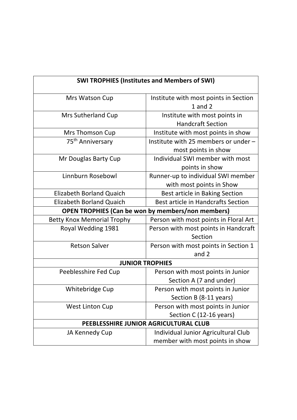| <b>SWI TROPHIES (Institutes and Members of SWI)</b> |                                                                        |  |  |  |  |
|-----------------------------------------------------|------------------------------------------------------------------------|--|--|--|--|
| Mrs Watson Cup                                      | Institute with most points in Section<br>$1$ and $2$                   |  |  |  |  |
| <b>Mrs Sutherland Cup</b>                           | Institute with most points in<br><b>Handcraft Section</b>              |  |  |  |  |
| Mrs Thomson Cup                                     | Institute with most points in show                                     |  |  |  |  |
| 75 <sup>th</sup> Anniversary                        | Institute with 25 members or under -<br>most points in show            |  |  |  |  |
| Mr Douglas Barty Cup                                | Individual SWI member with most<br>points in show                      |  |  |  |  |
| Linnburn Rosebowl                                   | Runner-up to individual SWI member<br>with most points in Show         |  |  |  |  |
| <b>Elizabeth Borland Quaich</b>                     | Best article in Baking Section                                         |  |  |  |  |
| <b>Elizabeth Borland Quaich</b>                     | <b>Best article in Handcrafts Section</b>                              |  |  |  |  |
|                                                     | <b>OPEN TROPHIES (Can be won by members/non members)</b>               |  |  |  |  |
| <b>Betty Knox Memorial Trophy</b>                   | Person with most points in Floral Art                                  |  |  |  |  |
| Royal Wedding 1981                                  | Person with most points in Handcraft<br>Section                        |  |  |  |  |
| <b>Retson Salver</b>                                | Person with most points in Section 1<br>and 2                          |  |  |  |  |
| <b>JUNIOR TROPHIES</b>                              |                                                                        |  |  |  |  |
| Peeblesshire Fed Cup                                | Person with most points in Junior<br>Section A (7 and under)           |  |  |  |  |
| Whitebridge Cup                                     | Person with most points in Junior<br>Section B (8-11 years)            |  |  |  |  |
| <b>West Linton Cup</b>                              | Person with most points in Junior<br>Section C (12-16 years)           |  |  |  |  |
|                                                     | PEEBLESSHIRE JUNIOR AGRICULTURAL CLUB                                  |  |  |  |  |
| JA Kennedy Cup                                      | Individual Junior Agricultural Club<br>member with most points in show |  |  |  |  |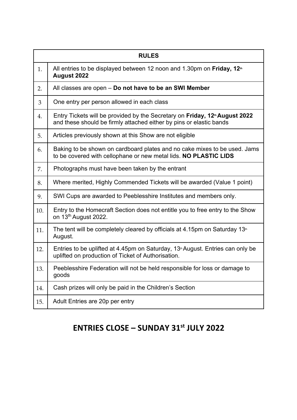| <b>RULES</b> |                                                                                                                                                                |  |  |  |
|--------------|----------------------------------------------------------------------------------------------------------------------------------------------------------------|--|--|--|
| 1.           | All entries to be displayed between 12 noon and 1.30pm on Friday, 12 <sup>th</sup><br>August 2022                                                              |  |  |  |
| 2.           | All classes are open – Do not have to be an SWI Member                                                                                                         |  |  |  |
| 3            | One entry per person allowed in each class                                                                                                                     |  |  |  |
| 4.           | Entry Tickets will be provided by the Secretary on Friday, 12 <sup>th</sup> August 2022<br>and these should be firmly attached either by pins or elastic bands |  |  |  |
| 5.           | Articles previously shown at this Show are not eligible                                                                                                        |  |  |  |
| 6.           | Baking to be shown on cardboard plates and no cake mixes to be used. Jams<br>to be covered with cellophane or new metal lids. NO PLASTIC LIDS                  |  |  |  |
| 7.           | Photographs must have been taken by the entrant                                                                                                                |  |  |  |
| 8.           | Where merited, Highly Commended Tickets will be awarded (Value 1 point)                                                                                        |  |  |  |
| 9.           | SWI Cups are awarded to Peeblesshire Institutes and members only.                                                                                              |  |  |  |
| 10.          | Entry to the Homecraft Section does not entitle you to free entry to the Show<br>on 13th August 2022.                                                          |  |  |  |
| 11.          | The tent will be completely cleared by officials at 4.15pm on Saturday $13th$<br>August.                                                                       |  |  |  |
| 12.          | Entries to be uplifted at 4.45pm on Saturday, 13 <sup>th</sup> August. Entries can only be<br>uplifted on production of Ticket of Authorisation.               |  |  |  |
| 13.          | Peeblesshire Federation will not be held responsible for loss or damage to<br>goods                                                                            |  |  |  |
| 14.          | Cash prizes will only be paid in the Children's Section                                                                                                        |  |  |  |
| 15.          | Adult Entries are 20p per entry                                                                                                                                |  |  |  |

# **ENTRIES CLOSE – SUNDAY 31st JULY 2022**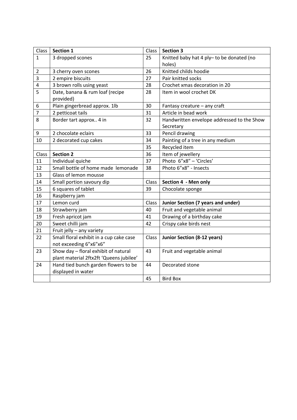| Class          | Section 1                                    | Class | <b>Section 3</b>                                    |  |
|----------------|----------------------------------------------|-------|-----------------------------------------------------|--|
| $\mathbf{1}$   | 3 dropped scones                             | 25    | Knitted baby hat 4 ply- to be donated (no<br>holes) |  |
| $\overline{2}$ | 3 cherry oven scones                         | 26    | Knitted childs hoodie                               |  |
| 3              | 2 empire biscuits                            | 27    | Pair knitted socks                                  |  |
| 4              | 3 brown rolls using yeast                    | 28    | Crochet xmas decoration in 20                       |  |
| 5              | Date, banana & rum loaf (recipe<br>provided) | 28    | Item in wool crochet DK                             |  |
| 6              | Plain gingerbread approx. 1lb                | 30    | Fantasy creature - any craft                        |  |
| $\overline{7}$ | 2 petticoat tails                            | 31    | Article in bead work                                |  |
| 8              | Border tart approx 4 in                      | 32    | Handwritten envelope addressed to the Show          |  |
|                |                                              |       | Secretary                                           |  |
| 9              | 2 chocolate eclairs                          | 33    | Pencil drawing                                      |  |
| 10             | 2 decorated cup cakes                        | 34    | Painting of a tree in any medium                    |  |
|                |                                              | 35    | Recycled item                                       |  |
| Class          | <b>Section 2</b>                             | 36    | Item of jewellery                                   |  |
| 11             | Individual quiche                            | 37    | Photo 6"x8" - 'Circles'                             |  |
| 12             | Small bottle of home made lemonade           | 38    | Photo 6"x8" - Insects                               |  |
| 13             | Glass of lemon mousse                        |       |                                                     |  |
| 14             | Small portion savoury dip                    | Class | Section 4 - Men only                                |  |
| 15             | 6 squares of tablet                          | 39    | Chocolate sponge                                    |  |
| 16             | Raspberry jam                                |       |                                                     |  |
| 17             | Lemon curd                                   | Class | <b>Junior Section (7 years and under)</b>           |  |
| 18             | Strawberry jam                               | 40    | Fruit and vegetable animal                          |  |
| 19             | Fresh apricot jam                            | 41    | Drawing of a birthday cake                          |  |
| 20             | Sweet chilli jam                             | 42    | Crispy cake birds nest                              |  |
| 21             | Fruit jelly - any variety                    |       |                                                     |  |
| 22             | Small floral exhibit in a cup cake case      | Class | <b>Junior Section (8-12 years)</b>                  |  |
|                | not exceeding 6"x6"x6"                       |       |                                                     |  |
| 23             | Show day - floral exhibit of natural         | 43    | Fruit and vegetable animal                          |  |
|                | plant material 2ftx2ft 'Queens jubilee'      |       |                                                     |  |
| 24             | Hand tied bunch garden flowers to be         | 44    | Decorated stone                                     |  |
|                | displayed in water                           |       |                                                     |  |
|                |                                              | 45    | <b>Bird Box</b>                                     |  |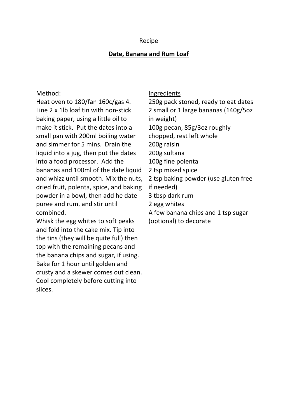#### Recipe

### **Date, Banana and Rum Loaf**

#### Method:

Heat oven to 180/fan 160c/gas 4. Line 2 x 1lb loaf tin with non-stick baking paper, using a little oil to make it stick. Put the dates into a small pan with 200ml boiling water and simmer for 5 mins. Drain the liquid into a jug, then put the dates into a food processor. Add the bananas and 100ml of the date liquid and whizz until smooth. Mix the nuts, dried fruit, polenta, spice, and baking powder in a bowl, then add he date puree and rum, and stir until combined.

Whisk the egg whites to soft peaks and fold into the cake mix. Tip into the tins (they will be quite full) then top with the remaining pecans and the banana chips and sugar, if using. Bake for 1 hour until golden and crusty and a skewer comes out clean. Cool completely before cutting into slices.

#### Ingredients

250g pack stoned, ready to eat dates 2 small or 1 large bananas (140g/5oz in weight) 100g pecan, 85g/3oz roughly chopped, rest left whole 200g raisin 200g sultana 100g fine polenta 2 tsp mixed spice 2 tsp baking powder (use gluten free if needed) 3 tbsp dark rum 2 egg whites A few banana chips and 1 tsp sugar

(optional) to decorate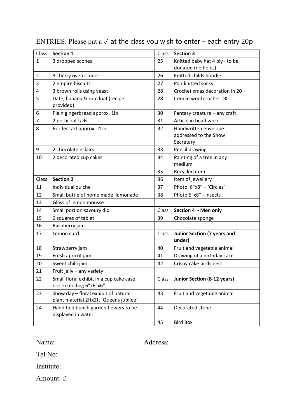| Class          | <b>Section 1</b>                                                                | Class | <b>Section 3</b>                                           |
|----------------|---------------------------------------------------------------------------------|-------|------------------------------------------------------------|
| $\mathbf{1}$   | 3 dropped scones                                                                | 25    | Knitted baby hat 4 ply- to be<br>donated (no holes)        |
| $\overline{2}$ | 3 cherry oven scones                                                            | 26    | Knitted childs hoodie                                      |
| 3              | 2 empire biscuits                                                               | 27    | Pair knitted socks                                         |
| 4              | 3 brown rolls using yeast                                                       | 28    | Crochet xmas decoration in 20                              |
| 5              | Date, banana & rum loaf (recipe<br>provided)                                    | 28    | Item in wool crochet DK                                    |
| 6              | Plain gingerbread approx. 1lb                                                   | 30    | Fantasy creature - any craft                               |
| 7              | 2 petticoat tails                                                               | 31    | Article in bead work                                       |
| 8              | Border tart approx 4 in                                                         | 32    | Handwritten envelope<br>addressed to the Show<br>Secretary |
| 9              | 2 chocolate eclairs                                                             | 33    | Pencil drawing                                             |
| 10             | 2 decorated cup cakes                                                           | 34    | Painting of a tree in any<br>medium                        |
|                |                                                                                 | 35    | Recycled item                                              |
| Class          | <b>Section 2</b>                                                                | 36    | Item of jewellery                                          |
| 11             | Individual quiche                                                               | 37    | Photo 6"x8" - 'Circles'                                    |
| 12             | Small bottle of home made lemonade                                              | 38    | Photo 6"x8" - Insects                                      |
| 13             | Glass of lemon mousse                                                           |       |                                                            |
| 14             | Small portion savoury dip                                                       | Class | Section 4 - Men only                                       |
| 15             | 6 squares of tablet                                                             | 39    | Chocolate sponge                                           |
| 16             | Raspberry jam                                                                   |       |                                                            |
| 17             | Lemon curd                                                                      | Class | <b>Junior Section (7 years and</b><br>under)               |
| 18             | Strawberry jam                                                                  | 40    | Fruit and vegetable animal                                 |
| 19             | Fresh apricot jam                                                               | 41    | Drawing of a birthday cake                                 |
| 20             | Sweet chilli jam                                                                | 42    | Crispy cake birds nest                                     |
| 21             | Fruit jelly - any variety                                                       |       |                                                            |
| 22             | Small floral exhibit in a cup cake case<br>not exceeding 6"x6"x6"               | Class | <b>Junior Section (8-12 years)</b>                         |
| 23             | Show day - floral exhibit of natural<br>plant material 2ftx2ft 'Queens jubilee' | 43    | Fruit and vegetable animal                                 |
| 24             | Hand tied bunch garden flowers to be<br>displayed in water                      | 44    | Decorated stone                                            |
|                |                                                                                 | 45    | <b>Bird Box</b>                                            |

# ENTRIES: Please put a  $\checkmark$  at the class you wish to enter – each entry 20p

Name: Address:

Tel No:

Institute:

Amount: £